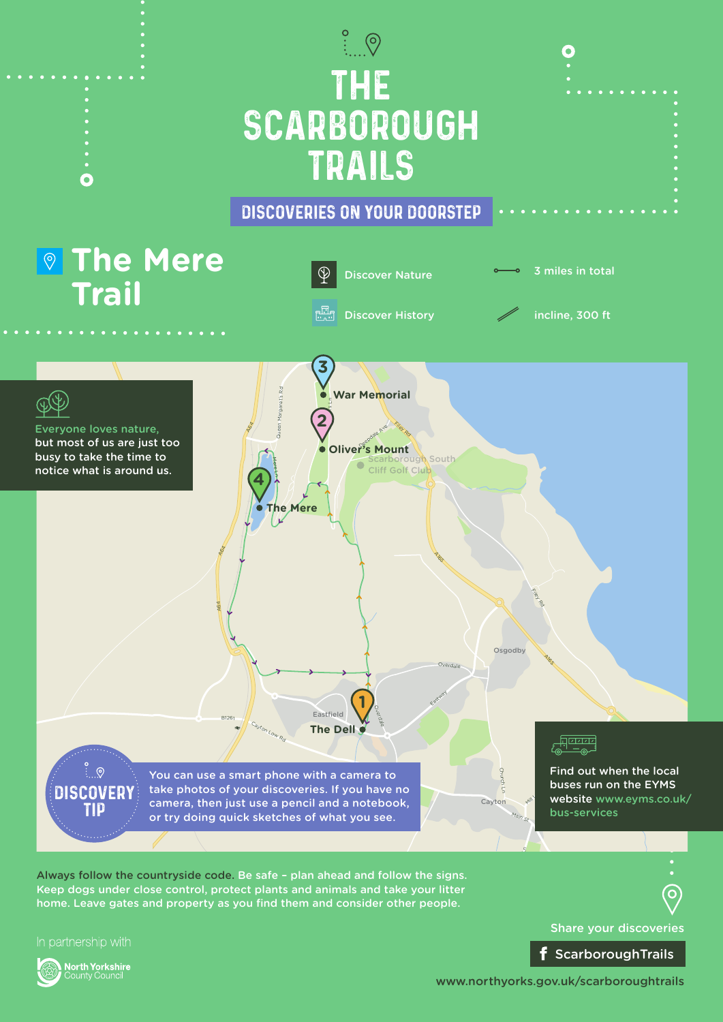

Keep dogs under close control, protect plants and animals and take your litter home. Leave gates and property as you find them and consider other people.



Share your discoveries f ScarboroughTrails

www.northyorks.gov.uk/scarboroughtrails